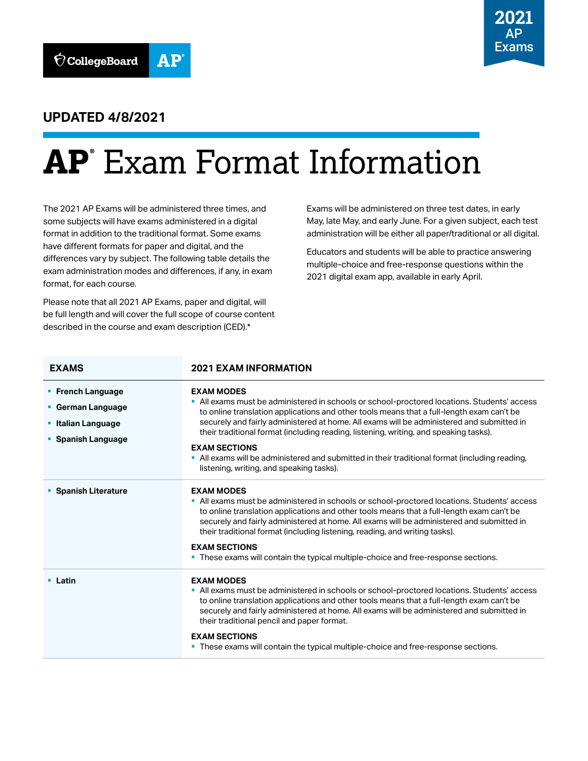

## **UPDATED 4/8/2021**

# **AP®** Exam Format Information

The 2021 AP Exams will be administered three times, and some subjects will have exams administered in a digital format in addition to the traditional format. Some exams have different formats for paper and digital, and the differences vary by subject. The following table details the exam administration modes and differences, if any, in exam format, for each course.

Please note that all 2021 AP Exams, paper and digital, will be full length and will cover the full scope of course content described in the course and exam description (CED).\*

Exams will be administered on three test dates, in early May, late May, and early June. For a given subject, each test administration will be either all paper/traditional or all digital.

Educators and students will be able to practice answering multiple-choice and free-response questions within the 2021 digital exam app, available in early April.

| <b>EXAMS</b>                                                                                     | <b>2021 EXAM INFORMATION</b>                                                                                                                                                                                                                                                                                                                                                                                                                                                                                                                                              |
|--------------------------------------------------------------------------------------------------|---------------------------------------------------------------------------------------------------------------------------------------------------------------------------------------------------------------------------------------------------------------------------------------------------------------------------------------------------------------------------------------------------------------------------------------------------------------------------------------------------------------------------------------------------------------------------|
| <b>• French Language</b><br>• German Language<br><b>• Italian Language</b><br>• Spanish Language | <b>EXAM MODES</b><br>• All exams must be administered in schools or school-proctored locations. Students' access<br>to online translation applications and other tools means that a full-length exam can't be<br>securely and fairly administered at home. All exams will be administered and submitted in<br>their traditional format (including reading, listening, writing, and speaking tasks).<br><b>EXAM SECTIONS</b><br>• All exams will be administered and submitted in their traditional format (including reading,<br>listening, writing, and speaking tasks). |
| • Spanish Literature                                                                             | <b>EXAM MODES</b><br>• All exams must be administered in schools or school-proctored locations. Students' access<br>to online translation applications and other tools means that a full-length exam can't be<br>securely and fairly administered at home. All exams will be administered and submitted in<br>their traditional format (including listening, reading, and writing tasks).<br><b>EXAM SECTIONS</b><br>. These exams will contain the typical multiple-choice and free-response sections.                                                                   |
| • Latin                                                                                          | <b>EXAM MODES</b><br>" All exams must be administered in schools or school-proctored locations. Students' access<br>to online translation applications and other tools means that a full-length exam can't be<br>securely and fairly administered at home. All exams will be administered and submitted in<br>their traditional pencil and paper format.<br><b>EXAM SECTIONS</b><br>• These exams will contain the typical multiple-choice and free-response sections.                                                                                                    |
|                                                                                                  |                                                                                                                                                                                                                                                                                                                                                                                                                                                                                                                                                                           |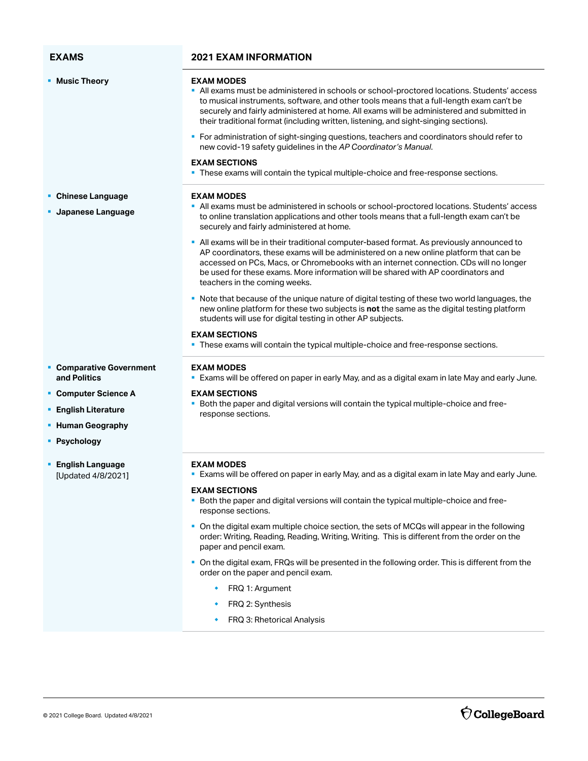| <b>EXAMS</b>                                  | <b>2021 EXAM INFORMATION</b>                                                                                                                                                                                                                                                                                                                                                                                                                                                                  |
|-----------------------------------------------|-----------------------------------------------------------------------------------------------------------------------------------------------------------------------------------------------------------------------------------------------------------------------------------------------------------------------------------------------------------------------------------------------------------------------------------------------------------------------------------------------|
| • Music Theory                                | <b>EXAM MODES</b><br>All exams must be administered in schools or school-proctored locations. Students' access<br>to musical instruments, software, and other tools means that a full-length exam can't be<br>securely and fairly administered at home. All exams will be administered and submitted in<br>their traditional format (including written, listening, and sight-singing sections).<br>• For administration of sight-singing questions, teachers and coordinators should refer to |
|                                               | new covid-19 safety guidelines in the AP Coordinator's Manual.                                                                                                                                                                                                                                                                                                                                                                                                                                |
|                                               | <b>EXAM SECTIONS</b><br>. These exams will contain the typical multiple-choice and free-response sections.                                                                                                                                                                                                                                                                                                                                                                                    |
| • Chinese Language                            | <b>EXAM MODES</b>                                                                                                                                                                                                                                                                                                                                                                                                                                                                             |
| <b>Japanese Language</b>                      | All exams must be administered in schools or school-proctored locations. Students' access<br>to online translation applications and other tools means that a full-length exam can't be<br>securely and fairly administered at home.                                                                                                                                                                                                                                                           |
|                                               | • All exams will be in their traditional computer-based format. As previously announced to<br>AP coordinators, these exams will be administered on a new online platform that can be<br>accessed on PCs, Macs, or Chromebooks with an internet connection. CDs will no longer<br>be used for these exams. More information will be shared with AP coordinators and<br>teachers in the coming weeks.                                                                                           |
|                                               | • Note that because of the unique nature of digital testing of these two world languages, the<br>new online platform for these two subjects is not the same as the digital testing platform<br>students will use for digital testing in other AP subjects.                                                                                                                                                                                                                                    |
|                                               | <b>EXAM SECTIONS</b><br>. These exams will contain the typical multiple-choice and free-response sections.                                                                                                                                                                                                                                                                                                                                                                                    |
| <b>Comparative Government</b><br>and Politics | <b>EXAM MODES</b><br>" Exams will be offered on paper in early May, and as a digital exam in late May and early June.                                                                                                                                                                                                                                                                                                                                                                         |
| • Computer Science A                          | <b>EXAM SECTIONS</b><br>- Both the paper and digital versions will contain the typical multiple-choice and free-                                                                                                                                                                                                                                                                                                                                                                              |
| <b>English Literature</b>                     | response sections.                                                                                                                                                                                                                                                                                                                                                                                                                                                                            |
| • Human Geography                             |                                                                                                                                                                                                                                                                                                                                                                                                                                                                                               |
| • Psychology                                  |                                                                                                                                                                                                                                                                                                                                                                                                                                                                                               |
| <b>English Language</b><br>[Updated 4/8/2021] | <b>EXAM MODES</b><br><b>Exams will be offered on paper in early May, and as a digital exam in late May and early June.</b>                                                                                                                                                                                                                                                                                                                                                                    |
|                                               | <b>EXAM SECTIONS</b><br>- Both the paper and digital versions will contain the typical multiple-choice and free-<br>response sections.                                                                                                                                                                                                                                                                                                                                                        |
|                                               | • On the digital exam multiple choice section, the sets of MCQs will appear in the following<br>order: Writing, Reading, Reading, Writing, Writing. This is different from the order on the<br>paper and pencil exam.                                                                                                                                                                                                                                                                         |
|                                               | • On the digital exam, FRQs will be presented in the following order. This is different from the<br>order on the paper and pencil exam.                                                                                                                                                                                                                                                                                                                                                       |
|                                               | FRQ 1: Argument<br>$\bullet$ .                                                                                                                                                                                                                                                                                                                                                                                                                                                                |

- $\leftarrow$  FRQ 2: Synthesis
- **•** FRQ 3: Rhetorical Analysis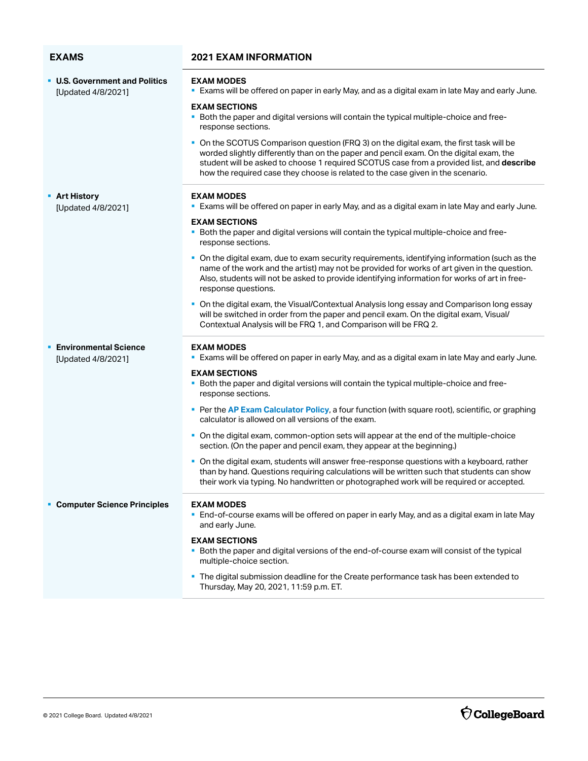### **EXAMS 2021 EXAM INFORMATION**

| <b>U.S. Government and Politics</b><br>[Updated 4/8/2021] | <b>EXAM MODES</b><br><b>Exams will be offered on paper in early May, and as a digital exam in late May and early June.</b>                                                                                                                                                                                                                                         |
|-----------------------------------------------------------|--------------------------------------------------------------------------------------------------------------------------------------------------------------------------------------------------------------------------------------------------------------------------------------------------------------------------------------------------------------------|
|                                                           | <b>EXAM SECTIONS</b><br>. Both the paper and digital versions will contain the typical multiple-choice and free-<br>response sections.                                                                                                                                                                                                                             |
|                                                           | • On the SCOTUS Comparison question (FRQ 3) on the digital exam, the first task will be<br>worded slightly differently than on the paper and pencil exam. On the digital exam, the<br>student will be asked to choose 1 required SCOTUS case from a provided list, and describe<br>how the required case they choose is related to the case given in the scenario. |
| <b>Art History</b><br>[Updated 4/8/2021]                  | <b>EXAM MODES</b><br><b>Exams will be offered on paper in early May, and as a digital exam in late May and early June.</b>                                                                                                                                                                                                                                         |
|                                                           | <b>EXAM SECTIONS</b><br>. Both the paper and digital versions will contain the typical multiple-choice and free-<br>response sections.                                                                                                                                                                                                                             |
|                                                           | • On the digital exam, due to exam security requirements, identifying information (such as the<br>name of the work and the artist) may not be provided for works of art given in the question.<br>Also, students will not be asked to provide identifying information for works of art in free-<br>response questions.                                             |
|                                                           | On the digital exam, the Visual/Contextual Analysis long essay and Comparison long essay<br>will be switched in order from the paper and pencil exam. On the digital exam, Visual/<br>Contextual Analysis will be FRQ 1, and Comparison will be FRQ 2.                                                                                                             |
| <b>Environmental Science</b>                              | <b>EXAM MODES</b><br>. Exams will be offered on paper in early May, and as a digital exam in late May and early June.                                                                                                                                                                                                                                              |
| [Updated 4/8/2021]                                        |                                                                                                                                                                                                                                                                                                                                                                    |
|                                                           |                                                                                                                                                                                                                                                                                                                                                                    |
|                                                           | <b>EXAM SECTIONS</b><br>Both the paper and digital versions will contain the typical multiple-choice and free-<br>response sections.                                                                                                                                                                                                                               |
|                                                           | Per the AP Exam Calculator Policy, a four function (with square root), scientific, or graphing<br>calculator is allowed on all versions of the exam.                                                                                                                                                                                                               |
|                                                           | • On the digital exam, common-option sets will appear at the end of the multiple-choice<br>section. (On the paper and pencil exam, they appear at the beginning.)                                                                                                                                                                                                  |
|                                                           | • On the digital exam, students will answer free-response questions with a keyboard, rather<br>than by hand. Questions requiring calculations will be written such that students can show<br>their work via typing. No handwritten or photographed work will be required or accepted.                                                                              |
| <b>Computer Science Principles</b>                        | <b>EXAM MODES</b><br>• End-of-course exams will be offered on paper in early May, and as a digital exam in late May<br>and early June.                                                                                                                                                                                                                             |
|                                                           | <b>EXAM SECTIONS</b><br>Both the paper and digital versions of the end-of-course exam will consist of the typical<br>multiple-choice section.                                                                                                                                                                                                                      |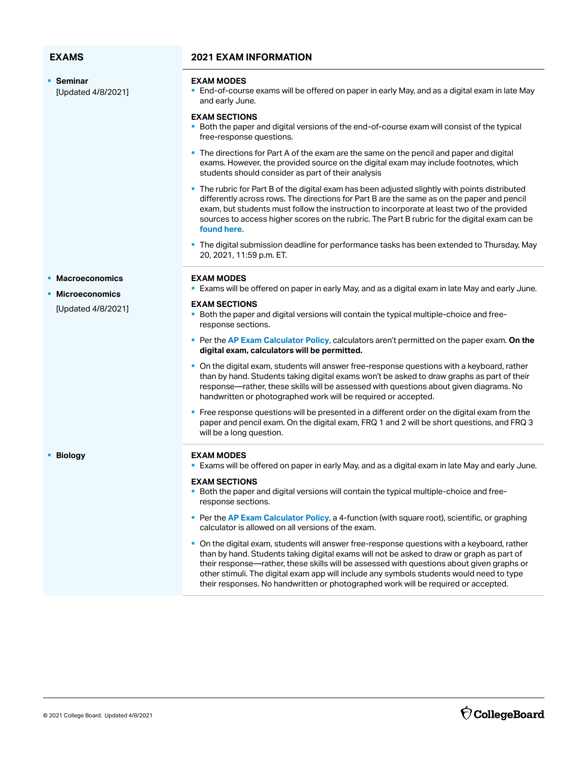§ **Seminar**  [Updated 4/8/2021]

### **EXAMS 2021 EXAM INFORMATION**

### **EXAM MODES**

§ End-of-course exams will be offered on paper in early May, and as a digital exam in late May and early June.

### **EXAM SECTIONS**

- § Both the paper and digital versions of the end-of-course exam will consist of the typical free-response questions.
- The directions for Part A of the exam are the same on the pencil and paper and digital exams. However, the provided source on the digital exam may include footnotes, which students should consider as part of their analysis
- **The rubric for Part B of the digital exam has been adjusted slightly with points distributed** differently across rows. The directions for Part B are the same as on the paper and pencil exam, but students must follow the instruction to incorporate at least two of the provided sources to access higher scores on the rubric. The Part B rubric for the digital exam can be **[found here](https://apcentral.collegeboard.org/pdf/ap-seminar-digital-forms-part-b-scoring-rubric-2021.pdf)**.
- The digital submission deadline for performance tasks has been extended to Thursday, May 20, 2021, 11:59 p.m. ET.

### **EXAM MODES**

**Exams will be offered on paper in early May, and as a digital exam in late May and early June.** 

### **EXAM SECTIONS**

- § Both the paper and digital versions will contain the typical multiple-choice and freeresponse sections.
- § Per the **[AP Exam Calculator Policy](https://apcentral.collegeboard.org/ap-coordinators/on-exam-day/calculator-policy)**, calculators aren't permitted on the paper exam. **On the digital exam, calculators will be permitted.**
- § On the digital exam, students will answer free-response questions with a keyboard, rather than by hand. Students taking digital exams won't be asked to draw graphs as part of their response—rather, these skills will be assessed with questions about given diagrams. No handwritten or photographed work will be required or accepted.
- **•** Free response questions will be presented in a different order on the digital exam from the paper and pencil exam. On the digital exam, FRQ 1 and 2 will be short questions, and FRQ 3 will be a long question.

### § **Biology EXAM MODES**

**Exams will be offered on paper in early May, and as a digital exam in late May and early June.** 

### **EXAM SECTIONS**

- Both the paper and digital versions will contain the typical multiple-choice and freeresponse sections.
- § Per the **[AP Exam Calculator Policy](https://apcentral.collegeboard.org/ap-coordinators/on-exam-day/calculator-policy)**, a 4-function (with square root), scientific, or graphing calculator is allowed on all versions of the exam.
- other stimuli. The digital exam app will include any symbols students would need to type § On the digital exam, students will answer free-response questions with a keyboard, rather than by hand. Students taking digital exams will not be asked to draw or graph as part of their response—rather, these skills will be assessed with questions about given graphs or their responses. No handwritten or photographed work will be required or accepted.

§ **Macroeconomics** 

### § **Microeconomics**

[Updated 4/8/2021]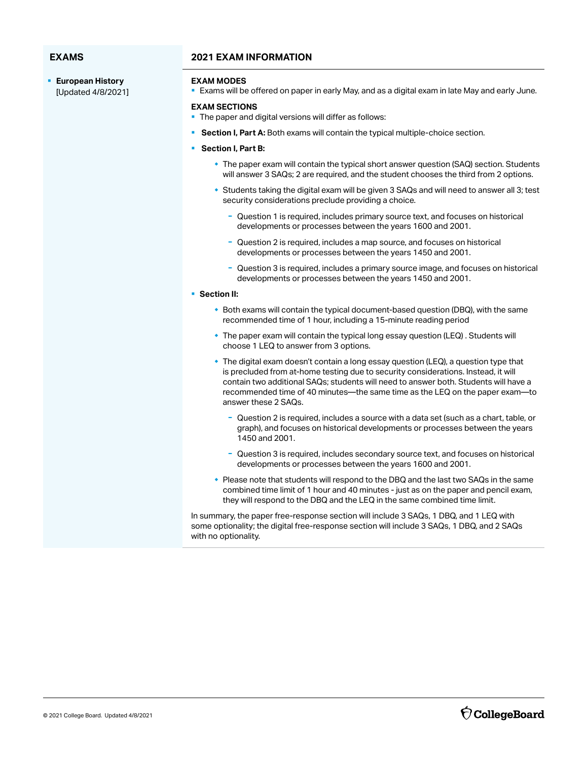§ **European History**  [Updated 4/8/2021]

### **EXAMS 2021 EXAM INFORMATION**

### **EXAM MODES**

**Exams will be offered on paper in early May, and as a digital exam in late May and early June.** 

### **EXAM SECTIONS**

- The paper and digital versions will differ as follows:
- § **Section I, Part A:** Both exams will contain the typical multiple-choice section.
- § **Section I, Part B:** 
	- \* The paper exam will contain the typical short answer question (SAQ) section. Students will answer 3 SAQs; 2 are required, and the student chooses the third from 2 options.
	- w Students taking the digital exam will be given 3 SAQs and will need to answer all 3; test security considerations preclude providing a choice.
		- Question 1 is required, includes primary source text, and focuses on historical developments or processes between the years 1600 and 2001.
		- Question 2 is required, includes a map source, and focuses on historical developments or processes between the years 1450 and 2001.
		- Question 3 is required, includes a primary source image, and focuses on historical developments or processes between the years 1450 and 2001.

### § **Section II:**

- $\bullet$  Both exams will contain the typical document-based question (DBQ), with the same recommended time of 1 hour, including a 15-minute reading period
- w The paper exam will contain the typical long essay question (LEQ) . Students will choose 1 LEQ to answer from 3 options.
- $\bullet$  The digital exam doesn't contain a long essay question (LEQ), a question type that is precluded from at-home testing due to security considerations. Instead, it will contain two additional SAQs; students will need to answer both. Students will have a recommended time of 40 minutes—the same time as the LEQ on the paper exam—to answer these 2 SAQs.
	- Question 2 is required, includes a source with a data set (such as a chart, table, or graph), and focuses on historical developments or processes between the years 1450 and 2001.
	- Question 3 is required, includes secondary source text, and focuses on historical developments or processes between the years 1600 and 2001.
- w Please note that students will respond to the DBQ and the last two SAQs in the same combined time limit of 1 hour and 40 minutes - just as on the paper and pencil exam, they will respond to the DBQ and the LEQ in the same combined time limit.

In summary, the paper free-response section will include 3 SAQs, 1 DBQ, and 1 LEQ with some optionality; the digital free-response section will include 3 SAQs, 1 DBQ, and 2 SAQs with no optionality.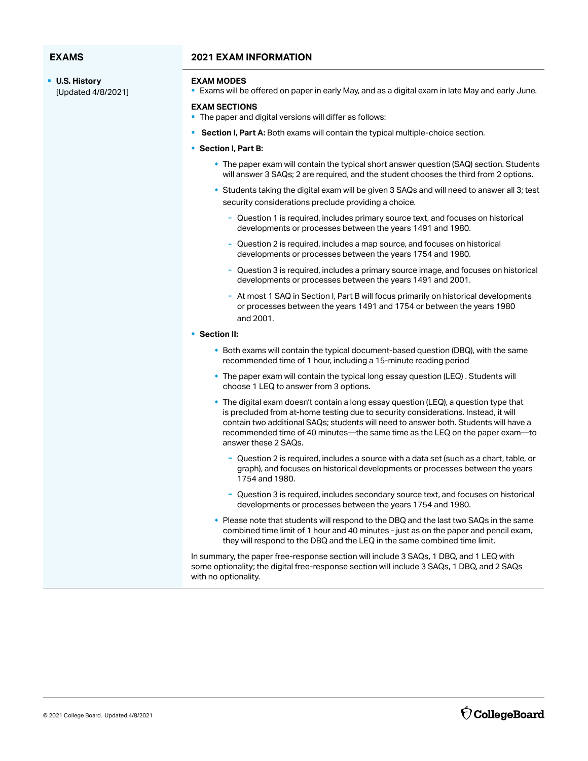§ **U.S. History** [Updated 4/8/2021]

### **EXAMS 2021 EXAM INFORMATION**

### **EXAM MODES**

**Exams will be offered on paper in early May, and as a digital exam in late May and early June.** 

### **EXAM SECTIONS**

- The paper and digital versions will differ as follows:
- § **Section I, Part A:** Both exams will contain the typical multiple-choice section.
- § **Section I, Part B:** 
	- \* The paper exam will contain the typical short answer question (SAQ) section. Students will answer 3 SAQs; 2 are required, and the student chooses the third from 2 options.
	- w Students taking the digital exam will be given 3 SAQs and will need to answer all 3; test security considerations preclude providing a choice.
		- Question 1 is required, includes primary source text, and focuses on historical developments or processes between the years 1491 and 1980.
		- Question 2 is required, includes a map source, and focuses on historical developments or processes between the years 1754 and 1980.
		- Question 3 is required, includes a primary source image, and focuses on historical developments or processes between the years 1491 and 2001.
		- At most 1 SAQ in Section I, Part B will focus primarily on historical developments or processes between the years 1491 and 1754 or between the years 1980 and 2001.
- § **Section II:** 
	- $\bullet$  Both exams will contain the typical document-based question (DBQ), with the same recommended time of 1 hour, including a 15-minute reading period
	- \* The paper exam will contain the typical long essay question (LEQ) . Students will choose 1 LEQ to answer from 3 options.
	- **The digital exam doesn't contain a long essay question (LEQ), a question type that** is precluded from at-home testing due to security considerations. Instead, it will contain two additional SAQs; students will need to answer both. Students will have a recommended time of 40 minutes—the same time as the LEQ on the paper exam—to answer these 2 SAQs.
		- Question 2 is required, includes a source with a data set (such as a chart, table, or graph), and focuses on historical developments or processes between the years 1754 and 1980.
		- Question 3 is required, includes secondary source text, and focuses on historical developments or processes between the years 1754 and 1980.
	- $\bullet$  Please note that students will respond to the DBQ and the last two SAQs in the same combined time limit of 1 hour and 40 minutes - just as on the paper and pencil exam, they will respond to the DBQ and the LEQ in the same combined time limit.

In summary, the paper free-response section will include 3 SAQs, 1 DBQ, and 1 LEQ with some optionality; the digital free-response section will include 3 SAQs, 1 DBQ, and 2 SAQs with no optionality.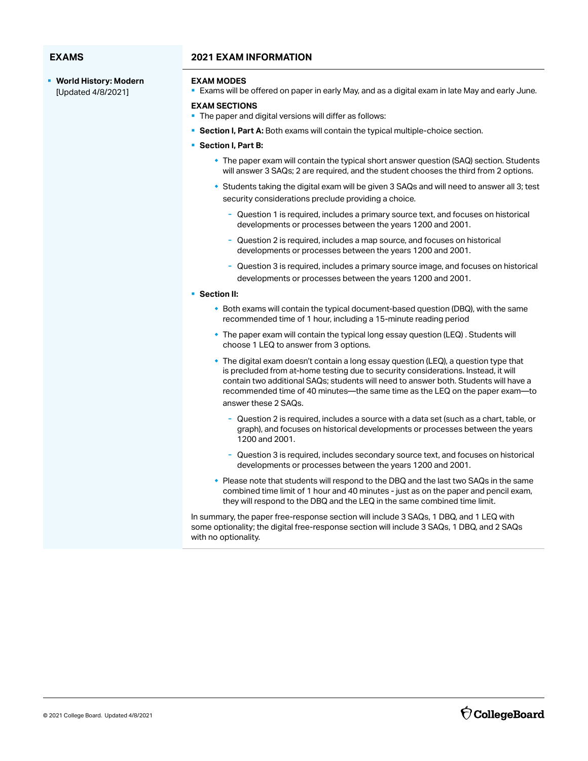- **EXAMS 2021 EXAM INFORMATION**
- § **World History: Modern**  [Updated 4/8/2021]

### **EXAM MODES**

**Exams will be offered on paper in early May, and as a digital exam in late May and early June.** 

### **EXAM SECTIONS**

- § The paper and digital versions will differ as follows:
- **Section I, Part A:** Both exams will contain the typical multiple-choice section.
- **Section I, Part B:** 
	- \* The paper exam will contain the typical short answer question (SAQ) section. Students will answer 3 SAQs; 2 are required, and the student chooses the third from 2 options.
	- w Students taking the digital exam will be given 3 SAQs and will need to answer all 3; test security considerations preclude providing a choice.
		- Question 1 is required, includes a primary source text, and focuses on historical developments or processes between the years 1200 and 2001.
		- Question 2 is required, includes a map source, and focuses on historical developments or processes between the years 1200 and 2001.
		- Question 3 is required, includes a primary source image, and focuses on historical developments or processes between the years 1200 and 2001.

### § **Section II:**

- $\bullet$  Both exams will contain the typical document-based question (DBQ), with the same recommended time of 1 hour, including a 15-minute reading period
- $*$  The paper exam will contain the typical long essay question (LEQ) . Students will choose 1 LEQ to answer from 3 options.
- $\bullet$  The digital exam doesn't contain a long essay question (LEQ), a question type that is precluded from at-home testing due to security considerations. Instead, it will contain two additional SAQs; students will need to answer both. Students will have a recommended time of 40 minutes—the same time as the LEQ on the paper exam—to answer these 2 SAQs.
	- Question 2 is required, includes a source with a data set (such as a chart, table, or graph), and focuses on historical developments or processes between the years 1200 and 2001.
	- Question 3 is required, includes secondary source text, and focuses on historical developments or processes between the years 1200 and 2001.
- w Please note that students will respond to the DBQ and the last two SAQs in the same combined time limit of 1 hour and 40 minutes - just as on the paper and pencil exam, they will respond to the DBQ and the LEQ in the same combined time limit.

In summary, the paper free-response section will include 3 SAQs, 1 DBQ, and 1 LEQ with some optionality; the digital free-response section will include 3 SAQs, 1 DBQ, and 2 SAQs with no optionality.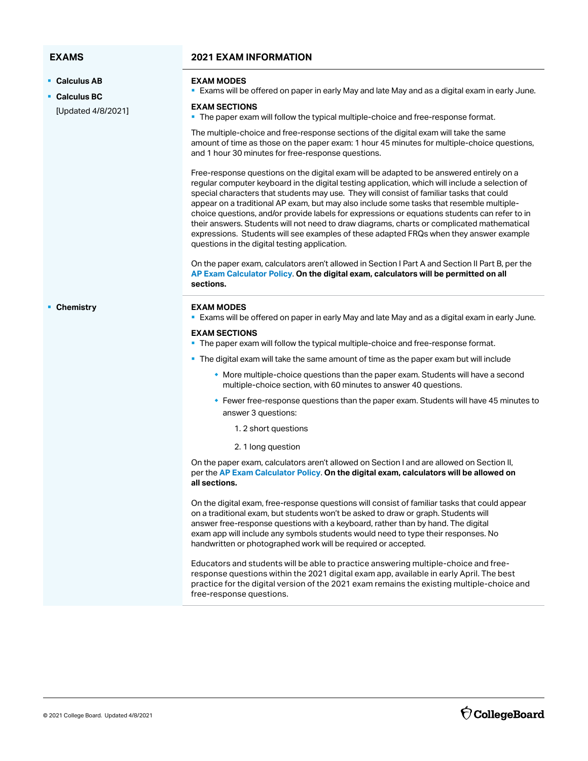§ **Calculus AB** 

§ **Calculus BC**  [Updated 4/8/2021]

### **EXAMS 2021 EXAM INFORMATION**

### **EXAM MODES**

**Exams will be offered on paper in early May and late May and as a digital exam in early June.** 

### **EXAM SECTIONS**

• The paper exam will follow the typical multiple-choice and free-response format.

The multiple-choice and free-response sections of the digital exam will take the same amount of time as those on the paper exam: 1 hour 45 minutes for multiple-choice questions, and 1 hour 30 minutes for free-response questions.

Free-response questions on the digital exam will be adapted to be answered entirely on a regular computer keyboard in the digital testing application, which will include a selection of special characters that students may use. They will consist of familiar tasks that could appear on a traditional AP exam, but may also include some tasks that resemble multiplechoice questions, and/or provide labels for expressions or equations students can refer to in their answers. Students will not need to draw diagrams, charts or complicated mathematical expressions. Students will see examples of these adapted FRQs when they answer example questions in the digital testing application.

On the paper exam, calculators aren't allowed in Section I Part A and Section II Part B, per the **[AP Exam Calculator Policy](https://apcentral.collegeboard.org/ap-coordinators/on-exam-day/calculator-policy)**. **On the digital exam, calculators will be permitted on all sections.** 

### § **Chemistry EXAM MODES**

**Exams will be offered on paper in early May and late May and as a digital exam in early June.** 

### **EXAM SECTIONS**

- The paper exam will follow the typical multiple-choice and free-response format.
- The digital exam will take the same amount of time as the paper exam but will include
	- $\bullet$  More multiple-choice questions than the paper exam. Students will have a second multiple-choice section, with 60 minutes to answer 40 questions.
	- $\bullet$  Fewer free-response questions than the paper exam. Students will have 45 minutes to answer 3 questions:
		- 1. 2 short questions
		- 2. 1 long question

On the paper exam, calculators aren't allowed on Section I and are allowed on Section II, per the **[AP Exam Calculator Policy](https://apcentral.collegeboard.org/ap-coordinators/on-exam-day/calculator-policy)**. **On the digital exam, calculators will be allowed on all sections.** 

 exam app will include any symbols students would need to type their responses. No On the digital exam, free-response questions will consist of familiar tasks that could appear on a traditional exam, but students won't be asked to draw or graph. Students will answer free-response questions with a keyboard, rather than by hand. The digital handwritten or photographed work will be required or accepted.

Educators and students will be able to practice answering multiple-choice and freeresponse questions within the 2021 digital exam app, available in early April. The best practice for the digital version of the 2021 exam remains the existing multiple-choice and free-response questions.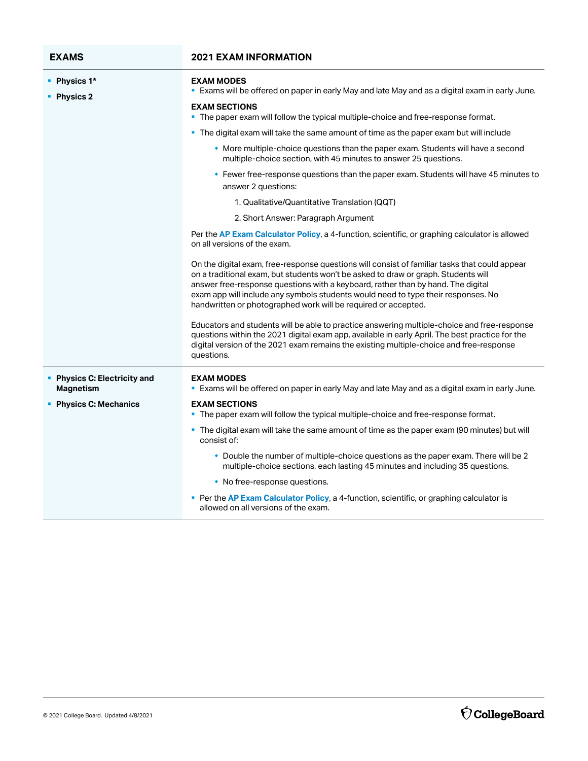| <b>EXAMS</b>                                     | <b>2021 EXAM INFORMATION</b>                                                                                                                                                                                                                                                                                                                                                                                                   |
|--------------------------------------------------|--------------------------------------------------------------------------------------------------------------------------------------------------------------------------------------------------------------------------------------------------------------------------------------------------------------------------------------------------------------------------------------------------------------------------------|
| • Physics 1*<br>Physics 2                        | <b>EXAM MODES</b><br>" Exams will be offered on paper in early May and late May and as a digital exam in early June.                                                                                                                                                                                                                                                                                                           |
|                                                  | <b>EXAM SECTIONS</b><br>• The paper exam will follow the typical multiple-choice and free-response format.                                                                                                                                                                                                                                                                                                                     |
|                                                  | • The digital exam will take the same amount of time as the paper exam but will include                                                                                                                                                                                                                                                                                                                                        |
|                                                  | • More multiple-choice questions than the paper exam. Students will have a second<br>multiple-choice section, with 45 minutes to answer 25 questions.                                                                                                                                                                                                                                                                          |
|                                                  | • Fewer free-response questions than the paper exam. Students will have 45 minutes to<br>answer 2 questions:                                                                                                                                                                                                                                                                                                                   |
|                                                  | 1. Qualitative/Quantitative Translation (QQT)                                                                                                                                                                                                                                                                                                                                                                                  |
|                                                  | 2. Short Answer: Paragraph Argument                                                                                                                                                                                                                                                                                                                                                                                            |
|                                                  | Per the AP Exam Calculator Policy, a 4-function, scientific, or graphing calculator is allowed<br>on all versions of the exam.                                                                                                                                                                                                                                                                                                 |
|                                                  | On the digital exam, free-response questions will consist of familiar tasks that could appear<br>on a traditional exam, but students won't be asked to draw or graph. Students will<br>answer free-response questions with a keyboard, rather than by hand. The digital<br>exam app will include any symbols students would need to type their responses. No<br>handwritten or photographed work will be required or accepted. |
|                                                  | Educators and students will be able to practice answering multiple-choice and free-response<br>questions within the 2021 digital exam app, available in early April. The best practice for the<br>digital version of the 2021 exam remains the existing multiple-choice and free-response<br>questions.                                                                                                                        |
| • Physics C: Electricity and<br><b>Magnetism</b> | <b>EXAM MODES</b><br><b>Exams will be offered on paper in early May and late May and as a digital exam in early June.</b>                                                                                                                                                                                                                                                                                                      |
| <b>Physics C: Mechanics</b>                      | <b>EXAM SECTIONS</b><br>The paper exam will follow the typical multiple-choice and free-response format.                                                                                                                                                                                                                                                                                                                       |
|                                                  | • The digital exam will take the same amount of time as the paper exam (90 minutes) but will<br>consist of:                                                                                                                                                                                                                                                                                                                    |
|                                                  | • Double the number of multiple-choice questions as the paper exam. There will be 2<br>multiple-choice sections, each lasting 45 minutes and including 35 questions.                                                                                                                                                                                                                                                           |
|                                                  | • No free-response questions.                                                                                                                                                                                                                                                                                                                                                                                                  |
|                                                  | Per the AP Exam Calculator Policy, a 4-function, scientific, or graphing calculator is<br>allowed on all versions of the exam.                                                                                                                                                                                                                                                                                                 |